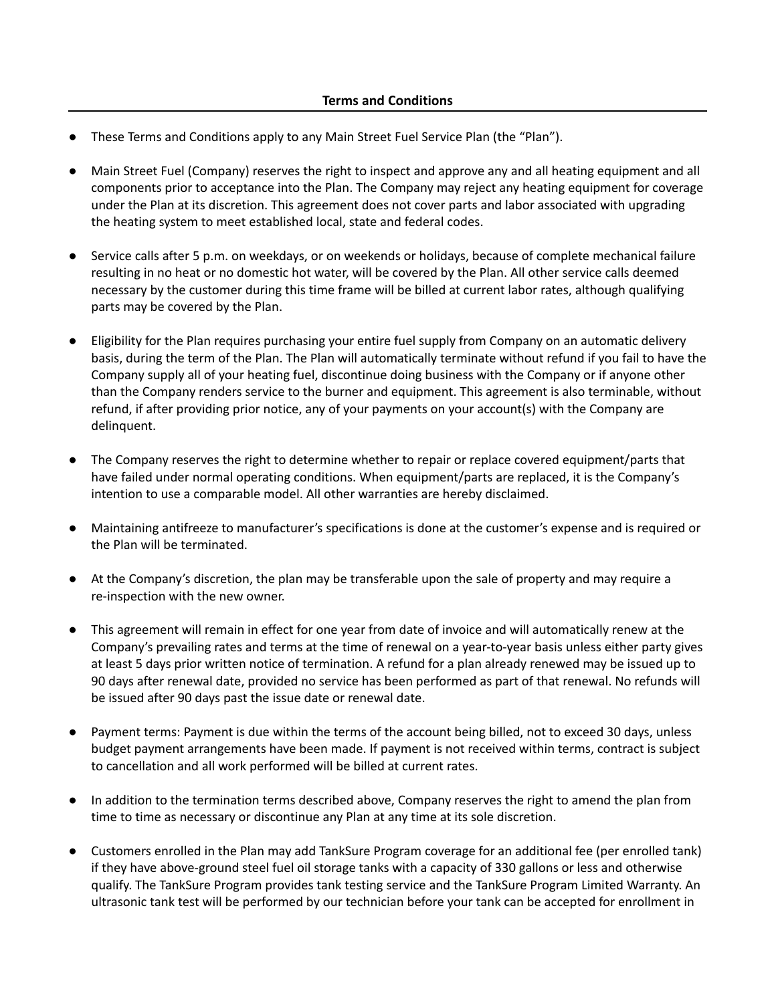- These Terms and Conditions apply to any Main Street Fuel Service Plan (the "Plan").
- Main Street Fuel (Company) reserves the right to inspect and approve any and all heating equipment and all components prior to acceptance into the Plan. The Company may reject any heating equipment for coverage under the Plan at its discretion. This agreement does not cover parts and labor associated with upgrading the heating system to meet established local, state and federal codes.
- Service calls after 5 p.m. on weekdays, or on weekends or holidays, because of complete mechanical failure resulting in no heat or no domestic hot water, will be covered by the Plan. All other service calls deemed necessary by the customer during this time frame will be billed at current labor rates, although qualifying parts may be covered by the Plan.
- Eligibility for the Plan requires purchasing your entire fuel supply from Company on an automatic delivery basis, during the term of the Plan. The Plan will automatically terminate without refund if you fail to have the Company supply all of your heating fuel, discontinue doing business with the Company or if anyone other than the Company renders service to the burner and equipment. This agreement is also terminable, without refund, if after providing prior notice, any of your payments on your account(s) with the Company are delinquent.
- The Company reserves the right to determine whether to repair or replace covered equipment/parts that have failed under normal operating conditions. When equipment/parts are replaced, it is the Company's intention to use a comparable model. All other warranties are hereby disclaimed.
- Maintaining antifreeze to manufacturer's specifications is done at the customer's expense and is required or the Plan will be terminated.
- At the Company's discretion, the plan may be transferable upon the sale of property and may require a re-inspection with the new owner.
- This agreement will remain in effect for one year from date of invoice and will automatically renew at the Company's prevailing rates and terms at the time of renewal on a year-to-year basis unless either party gives at least 5 days prior written notice of termination. A refund for a plan already renewed may be issued up to 90 days after renewal date, provided no service has been performed as part of that renewal. No refunds will be issued after 90 days past the issue date or renewal date.
- Payment terms: Payment is due within the terms of the account being billed, not to exceed 30 days, unless budget payment arrangements have been made. If payment is not received within terms, contract is subject to cancellation and all work performed will be billed at current rates.
- In addition to the termination terms described above, Company reserves the right to amend the plan from time to time as necessary or discontinue any Plan at any time at its sole discretion.
- Customers enrolled in the Plan may add TankSure Program coverage for an additional fee (per enrolled tank) if they have above-ground steel fuel oil storage tanks with a capacity of 330 gallons or less and otherwise qualify. The TankSure Program provides tank testing service and the TankSure Program Limited Warranty. An ultrasonic tank test will be performed by our technician before your tank can be accepted for enrollment in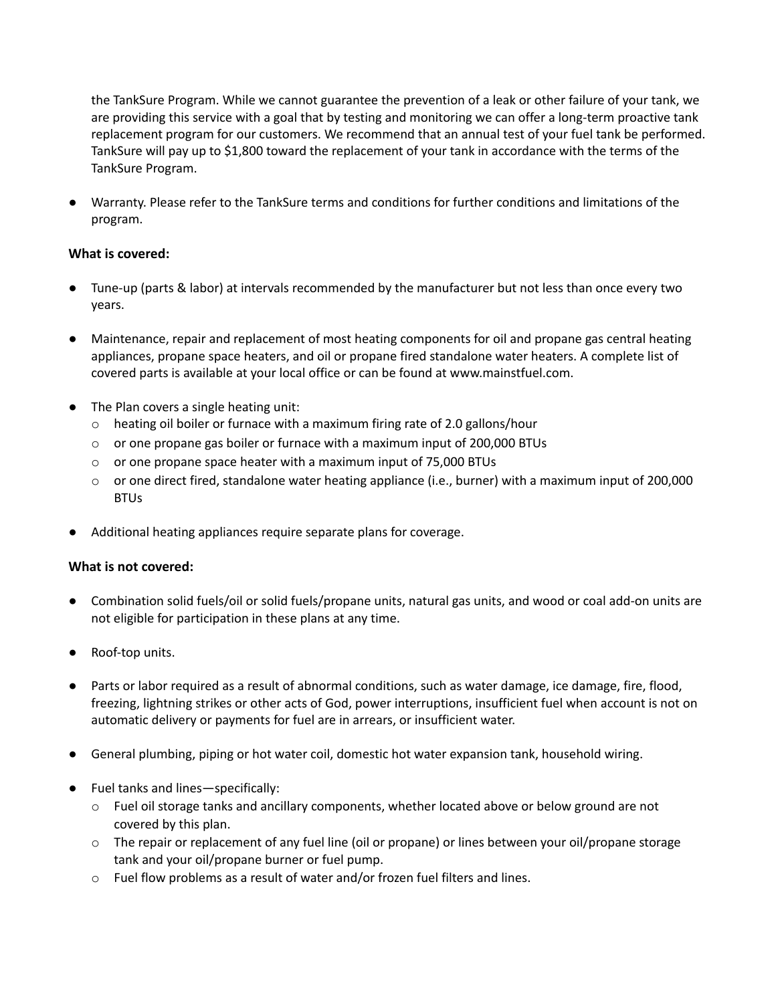the TankSure Program. While we cannot guarantee the prevention of a leak or other failure of your tank, we are providing this service with a goal that by testing and monitoring we can offer a long-term proactive tank replacement program for our customers. We recommend that an annual test of your fuel tank be performed. TankSure will pay up to \$1,800 toward the replacement of your tank in accordance with the terms of the TankSure Program.

Warranty. Please refer to the TankSure terms and conditions for further conditions and limitations of the program.

## **What is covered:**

- Tune-up (parts & labor) at intervals recommended by the manufacturer but not less than once every two years.
- Maintenance, repair and replacement of most heating components for oil and propane gas central heating appliances, propane space heaters, and oil or propane fired standalone water heaters. A complete list of covered parts is available at your local office or can be found at www.mainstfuel.com.
- The Plan covers a single heating unit:
	- o heating oil boiler or furnace with a maximum firing rate of 2.0 gallons/hour
	- $\circ$  or one propane gas boiler or furnace with a maximum input of 200,000 BTUs
	- o or one propane space heater with a maximum input of 75,000 BTUs
	- o or one direct fired, standalone water heating appliance (i.e., burner) with a maximum input of 200,000 **BTUs**
- Additional heating appliances require separate plans for coverage.

## **What is not covered:**

- Combination solid fuels/oil or solid fuels/propane units, natural gas units, and wood or coal add-on units are not eligible for participation in these plans at any time.
- Roof-top units.
- Parts or labor required as a result of abnormal conditions, such as water damage, ice damage, fire, flood, freezing, lightning strikes or other acts of God, power interruptions, insufficient fuel when account is not on automatic delivery or payments for fuel are in arrears, or insufficient water.
- General plumbing, piping or hot water coil, domestic hot water expansion tank, household wiring.
- Fuel tanks and lines—specifically:
	- o Fuel oil storage tanks and ancillary components, whether located above or below ground are not covered by this plan.
	- o The repair or replacement of any fuel line (oil or propane) or lines between your oil/propane storage tank and your oil/propane burner or fuel pump.
	- o Fuel flow problems as a result of water and/or frozen fuel filters and lines.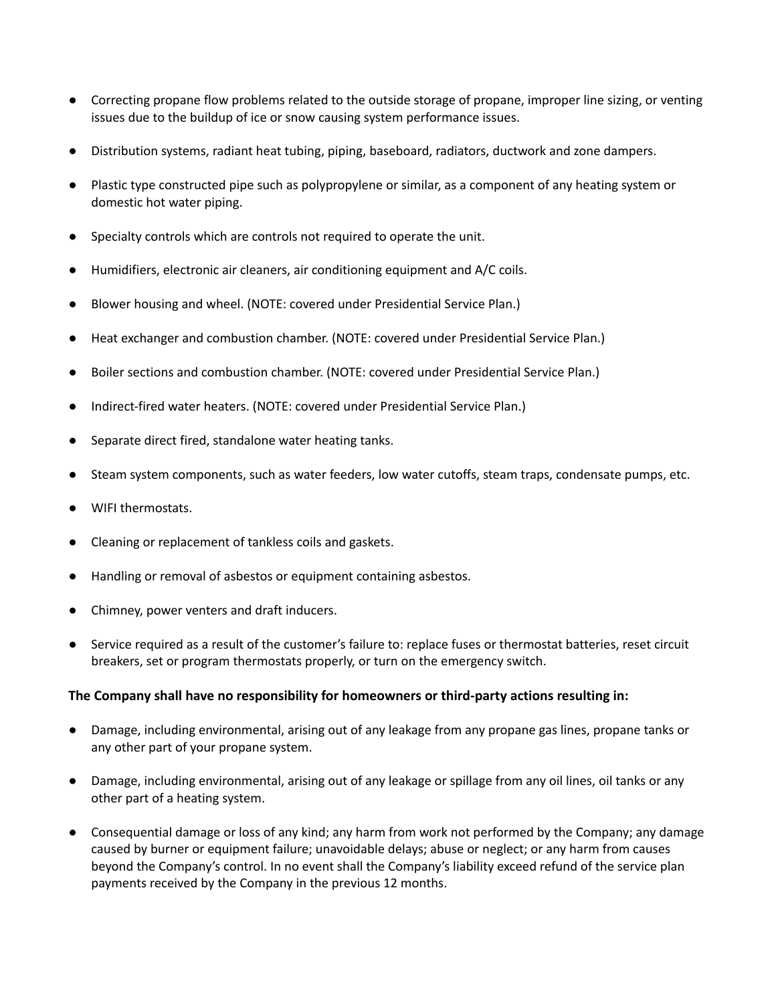- Correcting propane flow problems related to the outside storage of propane, improper line sizing, or venting issues due to the buildup of ice or snow causing system performance issues.
- Distribution systems, radiant heat tubing, piping, baseboard, radiators, ductwork and zone dampers.
- Plastic type constructed pipe such as polypropylene or similar, as a component of any heating system or domestic hot water piping.
- Specialty controls which are controls not required to operate the unit.
- Humidifiers, electronic air cleaners, air conditioning equipment and A/C coils.
- Blower housing and wheel. (NOTE: covered under Presidential Service Plan.)
- Heat exchanger and combustion chamber. (NOTE: covered under Presidential Service Plan.)
- Boiler sections and combustion chamber. (NOTE: covered under Presidential Service Plan.)
- Indirect-fired water heaters. (NOTE: covered under Presidential Service Plan.)
- Separate direct fired, standalone water heating tanks.
- Steam system components, such as water feeders, low water cutoffs, steam traps, condensate pumps, etc.
- WIFI thermostats.
- Cleaning or replacement of tankless coils and gaskets.
- Handling or removal of asbestos or equipment containing asbestos.
- Chimney, power venters and draft inducers.
- Service required as a result of the customer's failure to: replace fuses or thermostat batteries, reset circuit breakers, set or program thermostats properly, or turn on the emergency switch.

## **The Company shall have no responsibility for homeowners or third-party actions resulting in:**

- Damage, including environmental, arising out of any leakage from any propane gas lines, propane tanks or any other part of your propane system.
- Damage, including environmental, arising out of any leakage or spillage from any oil lines, oil tanks or any other part of a heating system.
- Consequential damage or loss of any kind; any harm from work not performed by the Company; any damage caused by burner or equipment failure; unavoidable delays; abuse or neglect; or any harm from causes beyond the Company's control. In no event shall the Company's liability exceed refund of the service plan payments received by the Company in the previous 12 months.